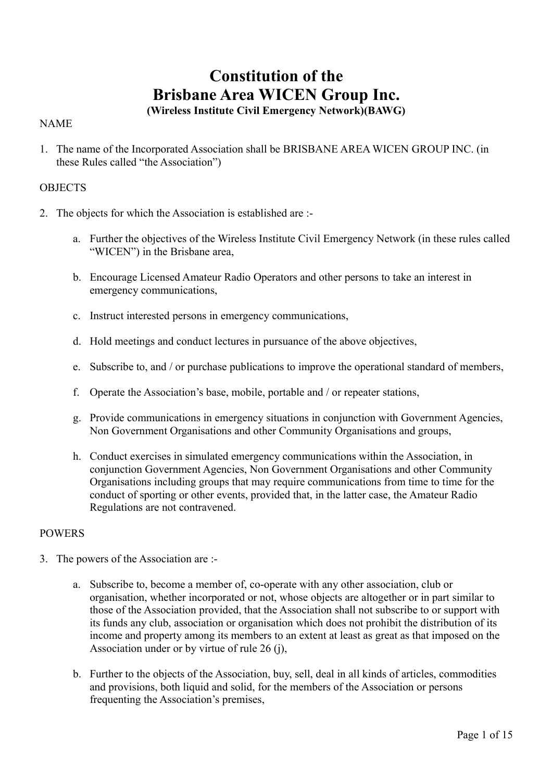# **Constitution of the Brisbane Area WICEN Group Inc.**

# **(Wireless Institute Civil Emergency Network)(BAWG)**

## NAME

1. The name of the Incorporated Association shall be BRISBANE AREA WICEN GROUP INC. (in these Rules called "the Association")

## **OBJECTS**

- 2. The objects for which the Association is established are :
	- a. Further the objectives of the Wireless Institute Civil Emergency Network (in these rules called "WICEN") in the Brisbane area,
	- b. Encourage Licensed Amateur Radio Operators and other persons to take an interest in emergency communications,
	- c. Instruct interested persons in emergency communications,
	- d. Hold meetings and conduct lectures in pursuance of the above objectives,
	- e. Subscribe to, and / or purchase publications to improve the operational standard of members,
	- f. Operate the Association's base, mobile, portable and / or repeater stations,
	- g. Provide communications in emergency situations in conjunction with Government Agencies, Non Government Organisations and other Community Organisations and groups,
	- h. Conduct exercises in simulated emergency communications within the Association, in conjunction Government Agencies, Non Government Organisations and other Community Organisations including groups that may require communications from time to time for the conduct of sporting or other events, provided that, in the latter case, the Amateur Radio Regulations are not contravened.

## POWERS

- 3. The powers of the Association are :
	- a. Subscribe to, become a member of, co-operate with any other association, club or organisation, whether incorporated or not, whose objects are altogether or in part similar to those of the Association provided, that the Association shall not subscribe to or support with its funds any club, association or organisation which does not prohibit the distribution of its income and property among its members to an extent at least as great as that imposed on the Association under or by virtue of rule 26 (j),
	- b. Further to the objects of the Association, buy, sell, deal in all kinds of articles, commodities and provisions, both liquid and solid, for the members of the Association or persons frequenting the Association's premises,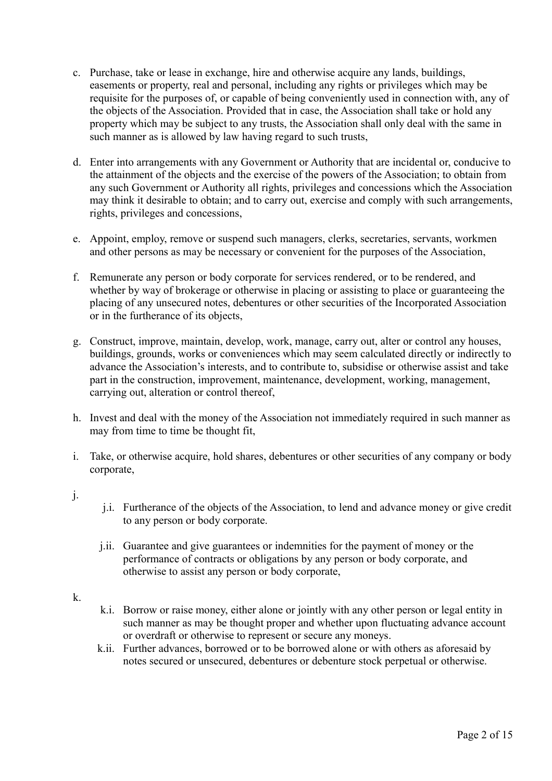- c. Purchase, take or lease in exchange, hire and otherwise acquire any lands, buildings, easements or property, real and personal, including any rights or privileges which may be requisite for the purposes of, or capable of being conveniently used in connection with, any of the objects of the Association. Provided that in case, the Association shall take or hold any property which may be subject to any trusts, the Association shall only deal with the same in such manner as is allowed by law having regard to such trusts,
- d. Enter into arrangements with any Government or Authority that are incidental or, conducive to the attainment of the objects and the exercise of the powers of the Association; to obtain from any such Government or Authority all rights, privileges and concessions which the Association may think it desirable to obtain; and to carry out, exercise and comply with such arrangements, rights, privileges and concessions,
- e. Appoint, employ, remove or suspend such managers, clerks, secretaries, servants, workmen and other persons as may be necessary or convenient for the purposes of the Association,
- f. Remunerate any person or body corporate for services rendered, or to be rendered, and whether by way of brokerage or otherwise in placing or assisting to place or guaranteeing the placing of any unsecured notes, debentures or other securities of the Incorporated Association or in the furtherance of its objects,
- g. Construct, improve, maintain, develop, work, manage, carry out, alter or control any houses, buildings, grounds, works or conveniences which may seem calculated directly or indirectly to advance the Association's interests, and to contribute to, subsidise or otherwise assist and take part in the construction, improvement, maintenance, development, working, management, carrying out, alteration or control thereof,
- h. Invest and deal with the money of the Association not immediately required in such manner as may from time to time be thought fit,
- i. Take, or otherwise acquire, hold shares, debentures or other securities of any company or body corporate,
- j.
- j.i. Furtherance of the objects of the Association, to lend and advance money or give credit to any person or body corporate.
- j.ii. Guarantee and give guarantees or indemnities for the payment of money or the performance of contracts or obligations by any person or body corporate, and otherwise to assist any person or body corporate,
- k.
- k.i. Borrow or raise money, either alone or jointly with any other person or legal entity in such manner as may be thought proper and whether upon fluctuating advance account or overdraft or otherwise to represent or secure any moneys.
- k.ii. Further advances, borrowed or to be borrowed alone or with others as aforesaid by notes secured or unsecured, debentures or debenture stock perpetual or otherwise.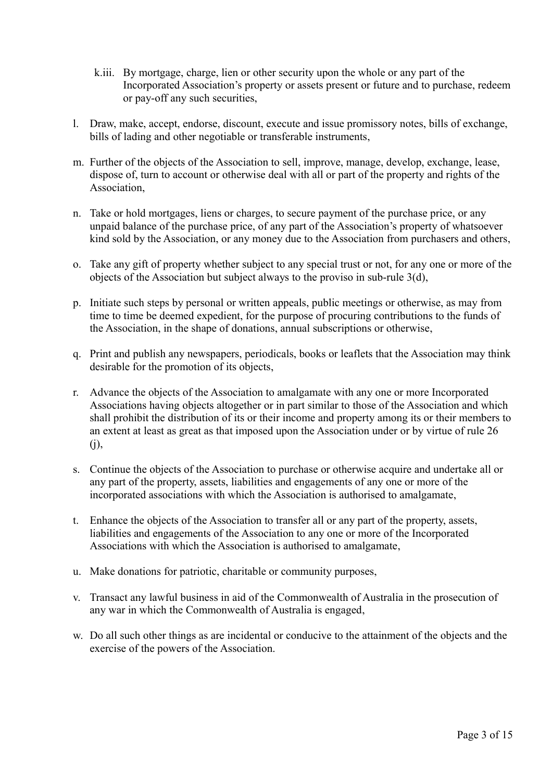- k.iii. By mortgage, charge, lien or other security upon the whole or any part of the Incorporated Association's property or assets present or future and to purchase, redeem or pay-off any such securities,
- l. Draw, make, accept, endorse, discount, execute and issue promissory notes, bills of exchange, bills of lading and other negotiable or transferable instruments,
- m. Further of the objects of the Association to sell, improve, manage, develop, exchange, lease, dispose of, turn to account or otherwise deal with all or part of the property and rights of the Association,
- n. Take or hold mortgages, liens or charges, to secure payment of the purchase price, or any unpaid balance of the purchase price, of any part of the Association's property of whatsoever kind sold by the Association, or any money due to the Association from purchasers and others,
- o. Take any gift of property whether subject to any special trust or not, for any one or more of the objects of the Association but subject always to the proviso in sub-rule 3(d),
- p. Initiate such steps by personal or written appeals, public meetings or otherwise, as may from time to time be deemed expedient, for the purpose of procuring contributions to the funds of the Association, in the shape of donations, annual subscriptions or otherwise,
- q. Print and publish any newspapers, periodicals, books or leaflets that the Association may think desirable for the promotion of its objects,
- r. Advance the objects of the Association to amalgamate with any one or more Incorporated Associations having objects altogether or in part similar to those of the Association and which shall prohibit the distribution of its or their income and property among its or their members to an extent at least as great as that imposed upon the Association under or by virtue of rule 26 (j),
- s. Continue the objects of the Association to purchase or otherwise acquire and undertake all or any part of the property, assets, liabilities and engagements of any one or more of the incorporated associations with which the Association is authorised to amalgamate,
- t. Enhance the objects of the Association to transfer all or any part of the property, assets, liabilities and engagements of the Association to any one or more of the Incorporated Associations with which the Association is authorised to amalgamate,
- u. Make donations for patriotic, charitable or community purposes,
- v. Transact any lawful business in aid of the Commonwealth of Australia in the prosecution of any war in which the Commonwealth of Australia is engaged,
- w. Do all such other things as are incidental or conducive to the attainment of the objects and the exercise of the powers of the Association.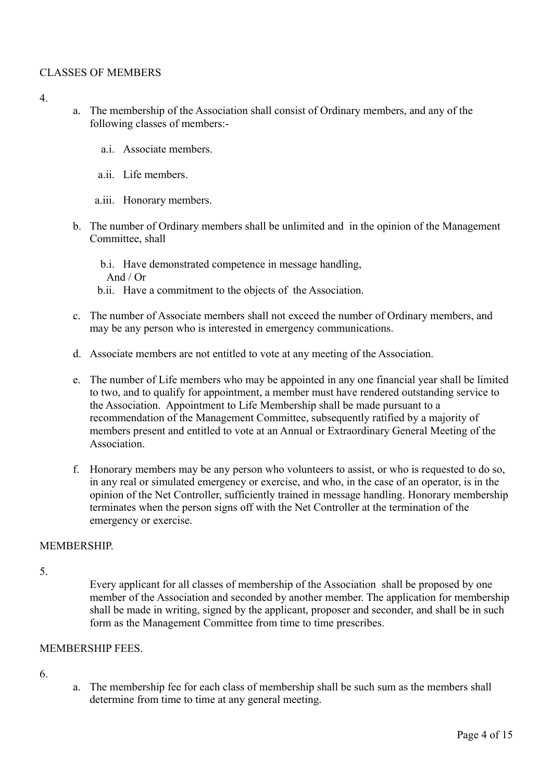## CLASSES OF MEMBERS

- 4.
- a. The membership of the Association shall consist of Ordinary members, and any of the following classes of members:
	- a.i. Associate members.
	- a.ii. Life members.
	- a.iii. Honorary members.
- b. The number of Ordinary members shall be unlimited and in the opinion of the Management Committee, shall
	- b.i. Have demonstrated competence in message handling, And / Or
	- b.ii. Have a commitment to the objects of the Association.
- c. The number of Associate members shall not exceed the number of Ordinary members, and may be any person who is interested in emergency communications.
- d. Associate members are not entitled to vote at any meeting of the Association.
- e. The number of Life members who may be appointed in any one financial year shall be limited to two, and to qualify for appointment, a member must have rendered outstanding service to the Association. Appointment to Life Membership shall be made pursuant to a recommendation of the Management Committee, subsequently ratified by a majority of members present and entitled to vote at an Annual or Extraordinary General Meeting of the Association.
- f. Honorary members may be any person who volunteers to assist, or who is requested to do so, in any real or simulated emergency or exercise, and who, in the case of an operator, is in the opinion of the Net Controller, sufficiently trained in message handling. Honorary membership terminates when the person signs off with the Net Controller at the termination of the emergency or exercise.

#### **MEMBERSHIP**

5.

Every applicant for all classes of membership of the Association shall be proposed by one member of the Association and seconded by another member. The application for membership shall be made in writing, signed by the applicant, proposer and seconder, and shall be in such form as the Management Committee from time to time prescribes.

#### MEMBERSHIP FEES.

- 6.
- a. The membership fee for each class of membership shall be such sum as the members shall determine from time to time at any general meeting.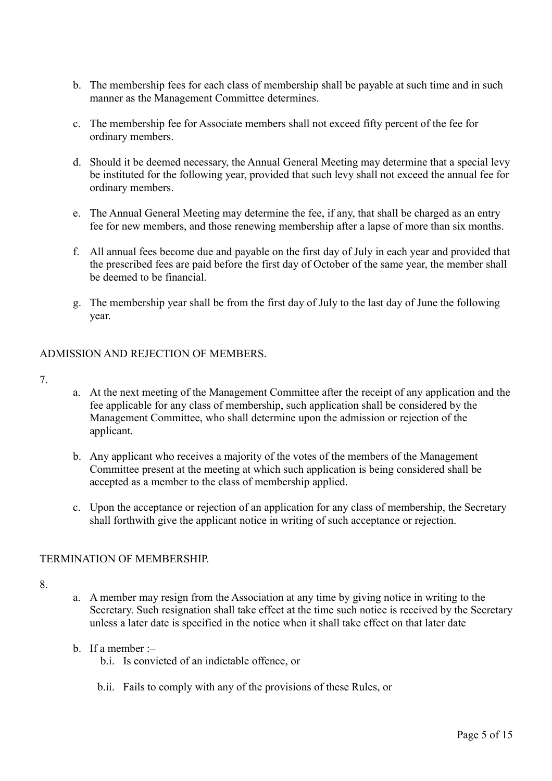- b. The membership fees for each class of membership shall be payable at such time and in such manner as the Management Committee determines.
- c. The membership fee for Associate members shall not exceed fifty percent of the fee for ordinary members.
- d. Should it be deemed necessary, the Annual General Meeting may determine that a special levy be instituted for the following year, provided that such levy shall not exceed the annual fee for ordinary members.
- e. The Annual General Meeting may determine the fee, if any, that shall be charged as an entry fee for new members, and those renewing membership after a lapse of more than six months.
- f. All annual fees become due and payable on the first day of July in each year and provided that the prescribed fees are paid before the first day of October of the same year, the member shall be deemed to be financial.
- g. The membership year shall be from the first day of July to the last day of June the following year.

## ADMISSION AND REJECTION OF MEMBERS.

- 7.
- a. At the next meeting of the Management Committee after the receipt of any application and the fee applicable for any class of membership, such application shall be considered by the Management Committee, who shall determine upon the admission or rejection of the applicant.
- b. Any applicant who receives a majority of the votes of the members of the Management Committee present at the meeting at which such application is being considered shall be accepted as a member to the class of membership applied.
- c. Upon the acceptance or rejection of an application for any class of membership, the Secretary shall forthwith give the applicant notice in writing of such acceptance or rejection.

## TERMINATION OF MEMBERSHIP.

- 8.
- a. A member may resign from the Association at any time by giving notice in writing to the Secretary. Such resignation shall take effect at the time such notice is received by the Secretary unless a later date is specified in the notice when it shall take effect on that later date
- b. If a member  $$ 
	- b.i. Is convicted of an indictable offence, or
	- b.ii. Fails to comply with any of the provisions of these Rules, or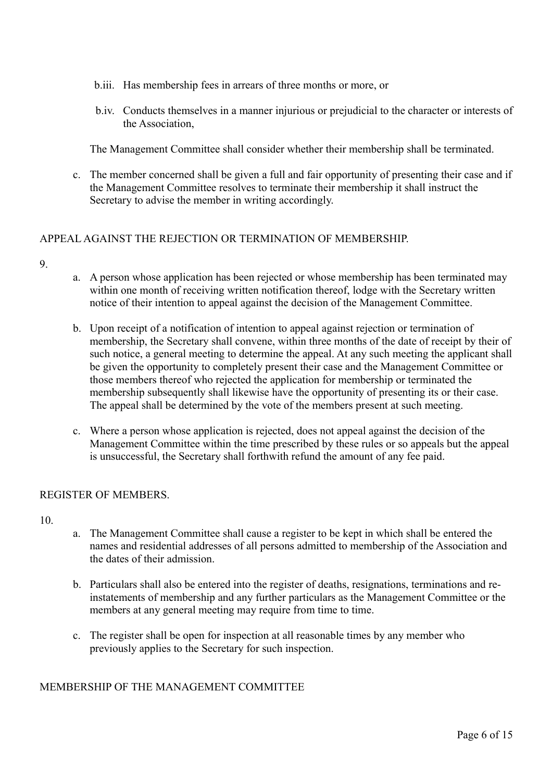- b.iii. Has membership fees in arrears of three months or more, or
- b.iv. Conducts themselves in a manner injurious or prejudicial to the character or interests of the Association,

The Management Committee shall consider whether their membership shall be terminated.

c. The member concerned shall be given a full and fair opportunity of presenting their case and if the Management Committee resolves to terminate their membership it shall instruct the Secretary to advise the member in writing accordingly.

## APPEAL AGAINST THE REJECTION OR TERMINATION OF MEMBERSHIP.

#### $\mathbf{Q}$

- a. A person whose application has been rejected or whose membership has been terminated may within one month of receiving written notification thereof, lodge with the Secretary written notice of their intention to appeal against the decision of the Management Committee.
- b. Upon receipt of a notification of intention to appeal against rejection or termination of membership, the Secretary shall convene, within three months of the date of receipt by their of such notice, a general meeting to determine the appeal. At any such meeting the applicant shall be given the opportunity to completely present their case and the Management Committee or those members thereof who rejected the application for membership or terminated the membership subsequently shall likewise have the opportunity of presenting its or their case. The appeal shall be determined by the vote of the members present at such meeting.
- c. Where a person whose application is rejected, does not appeal against the decision of the Management Committee within the time prescribed by these rules or so appeals but the appeal is unsuccessful, the Secretary shall forthwith refund the amount of any fee paid.

#### REGISTER OF MEMBERS.

10.

- a. The Management Committee shall cause a register to be kept in which shall be entered the names and residential addresses of all persons admitted to membership of the Association and the dates of their admission.
- b. Particulars shall also be entered into the register of deaths, resignations, terminations and reinstatements of membership and any further particulars as the Management Committee or the members at any general meeting may require from time to time.
- c. The register shall be open for inspection at all reasonable times by any member who previously applies to the Secretary for such inspection.

## MEMBERSHIP OF THE MANAGEMENT COMMITTEE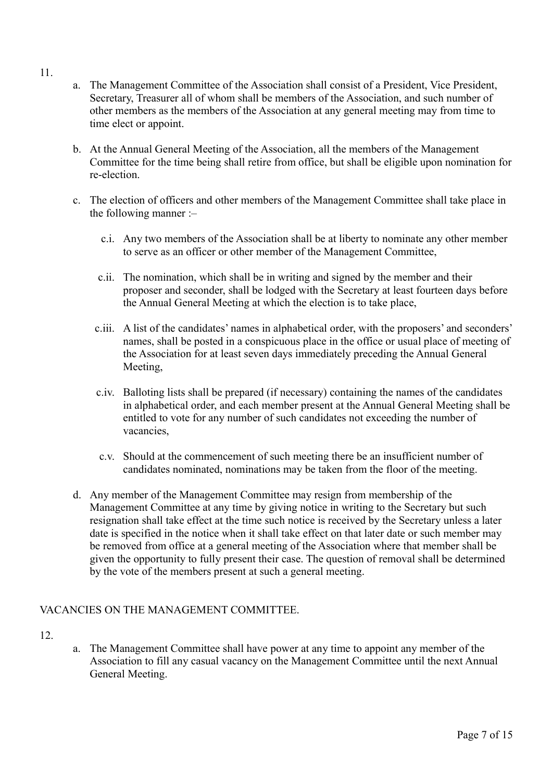- 11.
- a. The Management Committee of the Association shall consist of a President, Vice President, Secretary, Treasurer all of whom shall be members of the Association, and such number of other members as the members of the Association at any general meeting may from time to time elect or appoint.
- b. At the Annual General Meeting of the Association, all the members of the Management Committee for the time being shall retire from office, but shall be eligible upon nomination for re-election.
- c. The election of officers and other members of the Management Committee shall take place in the following manner :–
	- c.i. Any two members of the Association shall be at liberty to nominate any other member to serve as an officer or other member of the Management Committee,
	- c.ii. The nomination, which shall be in writing and signed by the member and their proposer and seconder, shall be lodged with the Secretary at least fourteen days before the Annual General Meeting at which the election is to take place,
	- c.iii. A list of the candidates' names in alphabetical order, with the proposers' and seconders' names, shall be posted in a conspicuous place in the office or usual place of meeting of the Association for at least seven days immediately preceding the Annual General Meeting,
	- c.iv. Balloting lists shall be prepared (if necessary) containing the names of the candidates in alphabetical order, and each member present at the Annual General Meeting shall be entitled to vote for any number of such candidates not exceeding the number of vacancies,
	- c.v. Should at the commencement of such meeting there be an insufficient number of candidates nominated, nominations may be taken from the floor of the meeting.
- d. Any member of the Management Committee may resign from membership of the Management Committee at any time by giving notice in writing to the Secretary but such resignation shall take effect at the time such notice is received by the Secretary unless a later date is specified in the notice when it shall take effect on that later date or such member may be removed from office at a general meeting of the Association where that member shall be given the opportunity to fully present their case. The question of removal shall be determined by the vote of the members present at such a general meeting.

# VACANCIES ON THE MANAGEMENT COMMITTEE.

- 12.
- a. The Management Committee shall have power at any time to appoint any member of the Association to fill any casual vacancy on the Management Committee until the next Annual General Meeting.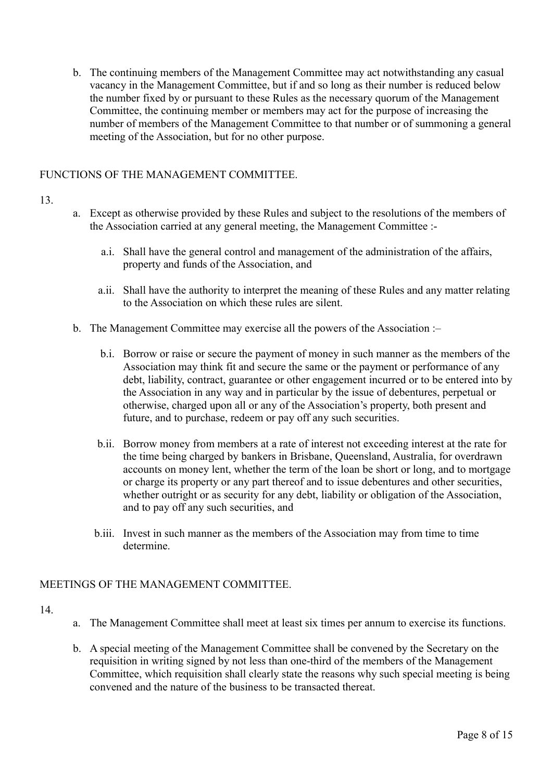b. The continuing members of the Management Committee may act notwithstanding any casual vacancy in the Management Committee, but if and so long as their number is reduced below the number fixed by or pursuant to these Rules as the necessary quorum of the Management Committee, the continuing member or members may act for the purpose of increasing the number of members of the Management Committee to that number or of summoning a general meeting of the Association, but for no other purpose.

## FUNCTIONS OF THE MANAGEMENT COMMITTEE.

#### 13.

- a. Except as otherwise provided by these Rules and subject to the resolutions of the members of the Association carried at any general meeting, the Management Committee :
	- a.i. Shall have the general control and management of the administration of the affairs, property and funds of the Association, and
	- a.ii. Shall have the authority to interpret the meaning of these Rules and any matter relating to the Association on which these rules are silent.
- b. The Management Committee may exercise all the powers of the Association :
	- b.i. Borrow or raise or secure the payment of money in such manner as the members of the Association may think fit and secure the same or the payment or performance of any debt, liability, contract, guarantee or other engagement incurred or to be entered into by the Association in any way and in particular by the issue of debentures, perpetual or otherwise, charged upon all or any of the Association's property, both present and future, and to purchase, redeem or pay off any such securities.
	- b.ii. Borrow money from members at a rate of interest not exceeding interest at the rate for the time being charged by bankers in Brisbane, Queensland, Australia, for overdrawn accounts on money lent, whether the term of the loan be short or long, and to mortgage or charge its property or any part thereof and to issue debentures and other securities, whether outright or as security for any debt, liability or obligation of the Association, and to pay off any such securities, and
	- b.iii. Invest in such manner as the members of the Association may from time to time determine.

## MEETINGS OF THE MANAGEMENT COMMITTEE.

- a. The Management Committee shall meet at least six times per annum to exercise its functions.
- b. A special meeting of the Management Committee shall be convened by the Secretary on the requisition in writing signed by not less than one-third of the members of the Management Committee, which requisition shall clearly state the reasons why such special meeting is being convened and the nature of the business to be transacted thereat.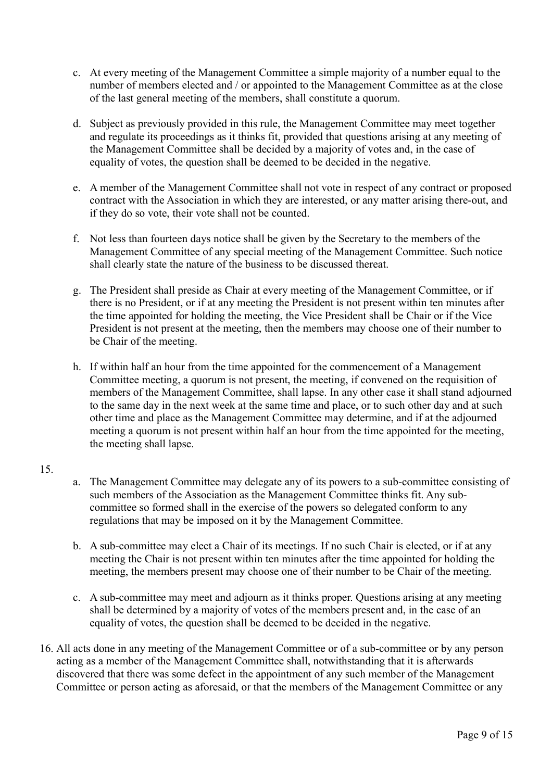- c. At every meeting of the Management Committee a simple majority of a number equal to the number of members elected and / or appointed to the Management Committee as at the close of the last general meeting of the members, shall constitute a quorum.
- d. Subject as previously provided in this rule, the Management Committee may meet together and regulate its proceedings as it thinks fit, provided that questions arising at any meeting of the Management Committee shall be decided by a majority of votes and, in the case of equality of votes, the question shall be deemed to be decided in the negative.
- e. A member of the Management Committee shall not vote in respect of any contract or proposed contract with the Association in which they are interested, or any matter arising there-out, and if they do so vote, their vote shall not be counted.
- f. Not less than fourteen days notice shall be given by the Secretary to the members of the Management Committee of any special meeting of the Management Committee. Such notice shall clearly state the nature of the business to be discussed thereat.
- g. The President shall preside as Chair at every meeting of the Management Committee, or if there is no President, or if at any meeting the President is not present within ten minutes after the time appointed for holding the meeting, the Vice President shall be Chair or if the Vice President is not present at the meeting, then the members may choose one of their number to be Chair of the meeting.
- h. If within half an hour from the time appointed for the commencement of a Management Committee meeting, a quorum is not present, the meeting, if convened on the requisition of members of the Management Committee, shall lapse. In any other case it shall stand adjourned to the same day in the next week at the same time and place, or to such other day and at such other time and place as the Management Committee may determine, and if at the adjourned meeting a quorum is not present within half an hour from the time appointed for the meeting, the meeting shall lapse.

- a. The Management Committee may delegate any of its powers to a sub-committee consisting of such members of the Association as the Management Committee thinks fit. Any subcommittee so formed shall in the exercise of the powers so delegated conform to any regulations that may be imposed on it by the Management Committee.
- b. A sub-committee may elect a Chair of its meetings. If no such Chair is elected, or if at any meeting the Chair is not present within ten minutes after the time appointed for holding the meeting, the members present may choose one of their number to be Chair of the meeting.
- c. A sub-committee may meet and adjourn as it thinks proper. Questions arising at any meeting shall be determined by a majority of votes of the members present and, in the case of an equality of votes, the question shall be deemed to be decided in the negative.
- 16. All acts done in any meeting of the Management Committee or of a sub-committee or by any person acting as a member of the Management Committee shall, notwithstanding that it is afterwards discovered that there was some defect in the appointment of any such member of the Management Committee or person acting as aforesaid, or that the members of the Management Committee or any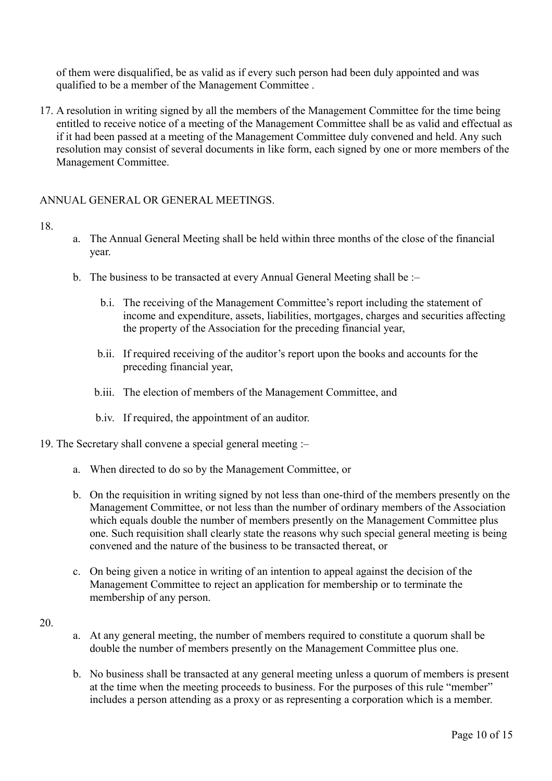of them were disqualified, be as valid as if every such person had been duly appointed and was qualified to be a member of the Management Committee .

17. A resolution in writing signed by all the members of the Management Committee for the time being entitled to receive notice of a meeting of the Management Committee shall be as valid and effectual as if it had been passed at a meeting of the Management Committee duly convened and held. Any such resolution may consist of several documents in like form, each signed by one or more members of the Management Committee.

#### ANNUAL GENERAL OR GENERAL MEETINGS.

#### 18.

- a. The Annual General Meeting shall be held within three months of the close of the financial year.
- b. The business to be transacted at every Annual General Meeting shall be :–
	- b.i. The receiving of the Management Committee's report including the statement of income and expenditure, assets, liabilities, mortgages, charges and securities affecting the property of the Association for the preceding financial year,
	- b.ii. If required receiving of the auditor's report upon the books and accounts for the preceding financial year,
	- b.iii. The election of members of the Management Committee, and
	- b.iv. If required, the appointment of an auditor.
- 19. The Secretary shall convene a special general meeting :–
	- a. When directed to do so by the Management Committee, or
	- b. On the requisition in writing signed by not less than one-third of the members presently on the Management Committee, or not less than the number of ordinary members of the Association which equals double the number of members presently on the Management Committee plus one. Such requisition shall clearly state the reasons why such special general meeting is being convened and the nature of the business to be transacted thereat, or
	- c. On being given a notice in writing of an intention to appeal against the decision of the Management Committee to reject an application for membership or to terminate the membership of any person.

- a. At any general meeting, the number of members required to constitute a quorum shall be double the number of members presently on the Management Committee plus one.
- b. No business shall be transacted at any general meeting unless a quorum of members is present at the time when the meeting proceeds to business. For the purposes of this rule "member" includes a person attending as a proxy or as representing a corporation which is a member.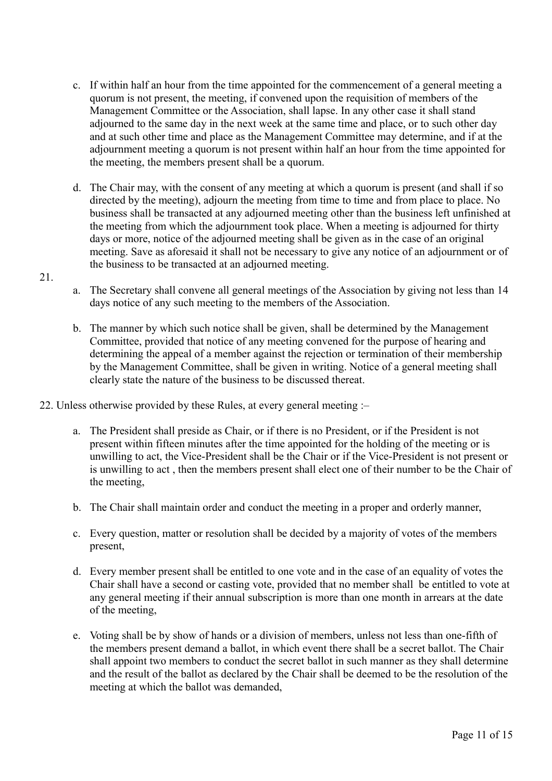- c. If within half an hour from the time appointed for the commencement of a general meeting a quorum is not present, the meeting, if convened upon the requisition of members of the Management Committee or the Association, shall lapse. In any other case it shall stand adjourned to the same day in the next week at the same time and place, or to such other day and at such other time and place as the Management Committee may determine, and if at the adjournment meeting a quorum is not present within half an hour from the time appointed for the meeting, the members present shall be a quorum.
- d. The Chair may, with the consent of any meeting at which a quorum is present (and shall if so directed by the meeting), adjourn the meeting from time to time and from place to place. No business shall be transacted at any adjourned meeting other than the business left unfinished at the meeting from which the adjournment took place. When a meeting is adjourned for thirty days or more, notice of the adjourned meeting shall be given as in the case of an original meeting. Save as aforesaid it shall not be necessary to give any notice of an adjournment or of the business to be transacted at an adjourned meeting.
- a. The Secretary shall convene all general meetings of the Association by giving not less than 14 days notice of any such meeting to the members of the Association.
- b. The manner by which such notice shall be given, shall be determined by the Management Committee, provided that notice of any meeting convened for the purpose of hearing and determining the appeal of a member against the rejection or termination of their membership by the Management Committee, shall be given in writing. Notice of a general meeting shall clearly state the nature of the business to be discussed thereat.
- 22. Unless otherwise provided by these Rules, at every general meeting :–
	- a. The President shall preside as Chair, or if there is no President, or if the President is not present within fifteen minutes after the time appointed for the holding of the meeting or is unwilling to act, the Vice-President shall be the Chair or if the Vice-President is not present or is unwilling to act , then the members present shall elect one of their number to be the Chair of the meeting,
	- b. The Chair shall maintain order and conduct the meeting in a proper and orderly manner,
	- c. Every question, matter or resolution shall be decided by a majority of votes of the members present,
	- d. Every member present shall be entitled to one vote and in the case of an equality of votes the Chair shall have a second or casting vote, provided that no member shall be entitled to vote at any general meeting if their annual subscription is more than one month in arrears at the date of the meeting,
	- e. Voting shall be by show of hands or a division of members, unless not less than one-fifth of the members present demand a ballot, in which event there shall be a secret ballot. The Chair shall appoint two members to conduct the secret ballot in such manner as they shall determine and the result of the ballot as declared by the Chair shall be deemed to be the resolution of the meeting at which the ballot was demanded,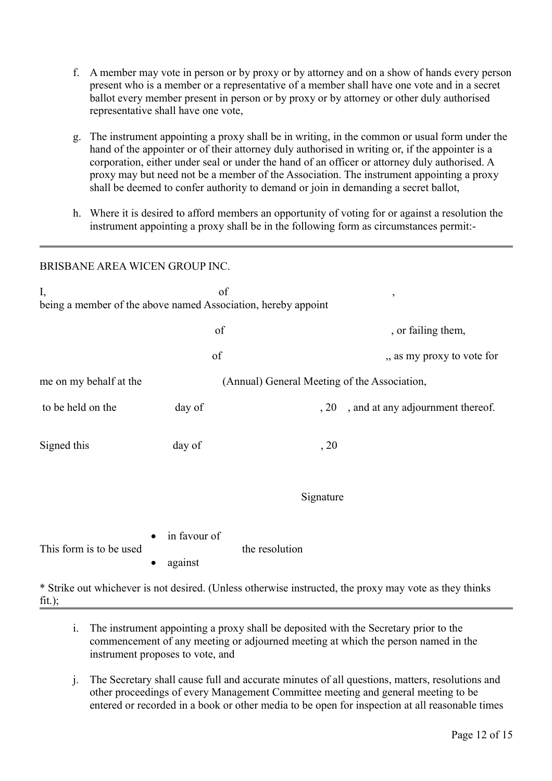- f. A member may vote in person or by proxy or by attorney and on a show of hands every person present who is a member or a representative of a member shall have one vote and in a secret ballot every member present in person or by proxy or by attorney or other duly authorised representative shall have one vote,
- g. The instrument appointing a proxy shall be in writing, in the common or usual form under the hand of the appointer or of their attorney duly authorised in writing or, if the appointer is a corporation, either under seal or under the hand of an officer or attorney duly authorised. A proxy may but need not be a member of the Association. The instrument appointing a proxy shall be deemed to confer authority to demand or join in demanding a secret ballot,
- h. Where it is desired to afford members an opportunity of voting for or against a resolution the instrument appointing a proxy shall be in the following form as circumstances permit:-

#### BRISBANE AREA WICEN GROUP INC.

| of<br>I,<br>$\overline{ }$<br>being a member of the above named Association, hereby appoint            |                                      |                                              |                                                  |  |
|--------------------------------------------------------------------------------------------------------|--------------------------------------|----------------------------------------------|--------------------------------------------------|--|
|                                                                                                        | of<br>of                             |                                              | , or failing them,<br>,, as my proxy to vote for |  |
| me on my behalf at the                                                                                 |                                      | (Annual) General Meeting of the Association, |                                                  |  |
| to be held on the                                                                                      | day of                               | , 20                                         | , and at any adjournment thereof.                |  |
| Signed this                                                                                            | day of                               | , 20                                         |                                                  |  |
|                                                                                                        |                                      | Signature                                    |                                                  |  |
| This form is to be used                                                                                | in favour of<br>against<br>$\bullet$ | the resolution                               |                                                  |  |
| * Strike out whichever is not desired. (Unless otherwise instructed, the proxy may vote as they thinks |                                      |                                              |                                                  |  |

 $fit.$ ):

- i. The instrument appointing a proxy shall be deposited with the Secretary prior to the commencement of any meeting or adjourned meeting at which the person named in the instrument proposes to vote, and
- j. The Secretary shall cause full and accurate minutes of all questions, matters, resolutions and other proceedings of every Management Committee meeting and general meeting to be entered or recorded in a book or other media to be open for inspection at all reasonable times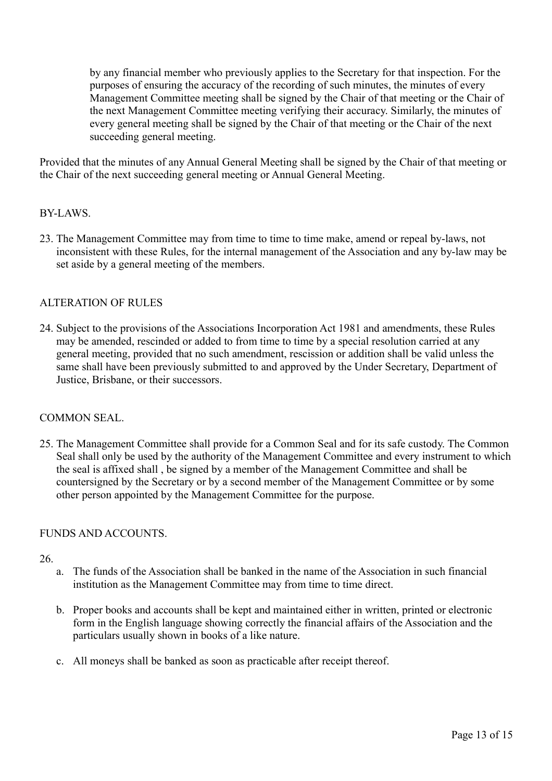by any financial member who previously applies to the Secretary for that inspection. For the purposes of ensuring the accuracy of the recording of such minutes, the minutes of every Management Committee meeting shall be signed by the Chair of that meeting or the Chair of the next Management Committee meeting verifying their accuracy. Similarly, the minutes of every general meeting shall be signed by the Chair of that meeting or the Chair of the next succeeding general meeting.

Provided that the minutes of any Annual General Meeting shall be signed by the Chair of that meeting or the Chair of the next succeeding general meeting or Annual General Meeting.

## BY-LAWS.

23. The Management Committee may from time to time to time make, amend or repeal by-laws, not inconsistent with these Rules, for the internal management of the Association and any by-law may be set aside by a general meeting of the members.

## ALTERATION OF RULES

24. Subject to the provisions of the Associations Incorporation Act 1981 and amendments, these Rules may be amended, rescinded or added to from time to time by a special resolution carried at any general meeting, provided that no such amendment, rescission or addition shall be valid unless the same shall have been previously submitted to and approved by the Under Secretary, Department of Justice, Brisbane, or their successors.

## COMMON SEAL.

25. The Management Committee shall provide for a Common Seal and for its safe custody. The Common Seal shall only be used by the authority of the Management Committee and every instrument to which the seal is affixed shall , be signed by a member of the Management Committee and shall be countersigned by the Secretary or by a second member of the Management Committee or by some other person appointed by the Management Committee for the purpose.

## FUNDS AND ACCOUNTS.

- a. The funds of the Association shall be banked in the name of the Association in such financial institution as the Management Committee may from time to time direct.
- b. Proper books and accounts shall be kept and maintained either in written, printed or electronic form in the English language showing correctly the financial affairs of the Association and the particulars usually shown in books of a like nature.
- c. All moneys shall be banked as soon as practicable after receipt thereof.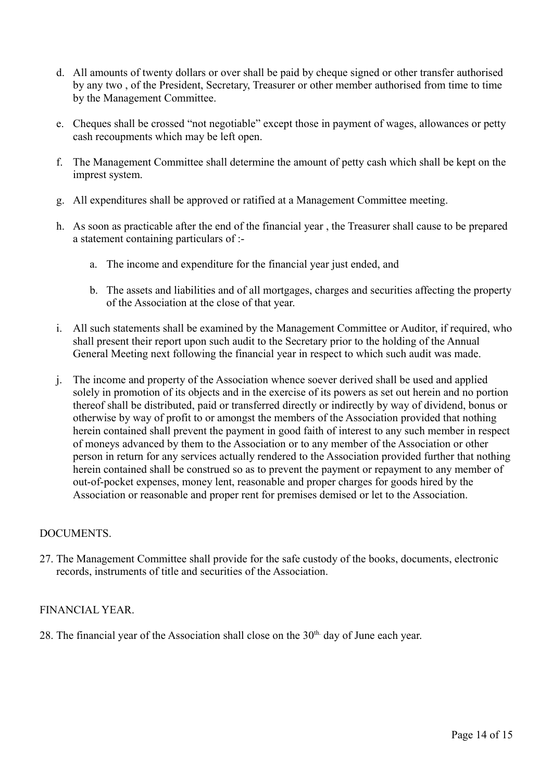- d. All amounts of twenty dollars or over shall be paid by cheque signed or other transfer authorised by any two , of the President, Secretary, Treasurer or other member authorised from time to time by the Management Committee.
- e. Cheques shall be crossed "not negotiable" except those in payment of wages, allowances or petty cash recoupments which may be left open.
- f. The Management Committee shall determine the amount of petty cash which shall be kept on the imprest system.
- g. All expenditures shall be approved or ratified at a Management Committee meeting.
- h. As soon as practicable after the end of the financial year , the Treasurer shall cause to be prepared a statement containing particulars of :
	- a. The income and expenditure for the financial year just ended, and
	- b. The assets and liabilities and of all mortgages, charges and securities affecting the property of the Association at the close of that year.
- i. All such statements shall be examined by the Management Committee or Auditor, if required, who shall present their report upon such audit to the Secretary prior to the holding of the Annual General Meeting next following the financial year in respect to which such audit was made.
- j. The income and property of the Association whence soever derived shall be used and applied solely in promotion of its objects and in the exercise of its powers as set out herein and no portion thereof shall be distributed, paid or transferred directly or indirectly by way of dividend, bonus or otherwise by way of profit to or amongst the members of the Association provided that nothing herein contained shall prevent the payment in good faith of interest to any such member in respect of moneys advanced by them to the Association or to any member of the Association or other person in return for any services actually rendered to the Association provided further that nothing herein contained shall be construed so as to prevent the payment or repayment to any member of out-of-pocket expenses, money lent, reasonable and proper charges for goods hired by the Association or reasonable and proper rent for premises demised or let to the Association.

## DOCUMENTS.

27. The Management Committee shall provide for the safe custody of the books, documents, electronic records, instruments of title and securities of the Association.

## FINANCIAL YEAR.

28. The financial year of the Association shall close on the  $30<sup>th</sup>$  day of June each year.